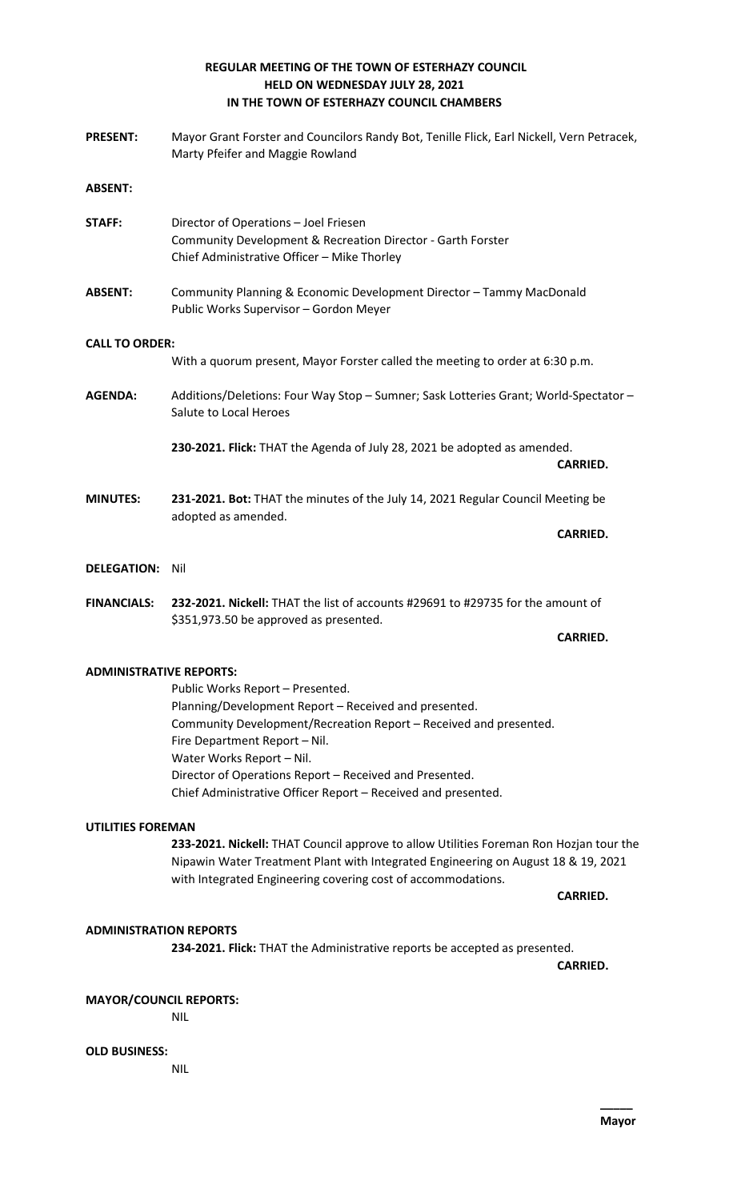# **REGULAR MEETING OF THE TOWN OF ESTERHAZY COUNCIL HELD ON WEDNESDAY JULY 28, 2021 IN THE TOWN OF ESTERHAZY COUNCIL CHAMBERS**

**PRESENT:** Mayor Grant Forster and Councilors Randy Bot, Tenille Flick, Earl Nickell, Vern Petracek, Marty Pfeifer and Maggie Rowland **ABSENT: STAFF:** Director of Operations – Joel Friesen Community Development & Recreation Director - Garth Forster Chief Administrative Officer – Mike Thorley **ABSENT:** Community Planning & Economic Development Director – Tammy MacDonald Public Works Supervisor – Gordon Meyer **CALL TO ORDER:** With a quorum present, Mayor Forster called the meeting to order at 6:30 p.m. **AGENDA:** Additions/Deletions: Four Way Stop – Sumner; Sask Lotteries Grant; World-Spectator – Salute to Local Heroes **230-2021. Flick:** THAT the Agenda of July 28, 2021 be adopted as amended. **CARRIED. MINUTES: 231-2021. Bot:** THAT the minutes of the July 14, 2021 Regular Council Meeting be adopted as amended. **CARRIED. DELEGATION:** Nil **FINANCIALS: 232-2021. Nickell:** THAT the list of accounts #29691 to #29735 for the amount of \$351,973.50 be approved as presented. **CARRIED. ADMINISTRATIVE REPORTS:**

> Public Works Report – Presented. Planning/Development Report – Received and presented. Community Development/Recreation Report – Received and presented. Fire Department Report – Nil. Water Works Report – Nil. Director of Operations Report – Received and Presented. Chief Administrative Officer Report – Received and presented.

## **UTILITIES FOREMAN**

**233-2021. Nickell:** THAT Council approve to allow Utilities Foreman Ron Hozjan tour the Nipawin Water Treatment Plant with Integrated Engineering on August 18 & 19, 2021 with Integrated Engineering covering cost of accommodations.

**CARRIED.**

## **ADMINISTRATION REPORTS**

**234-2021. Flick:** THAT the Administrative reports be accepted as presented.

**CARRIED.**

## **MAYOR/COUNCIL REPORTS:**

NIL

# **OLD BUSINESS:**

NIL